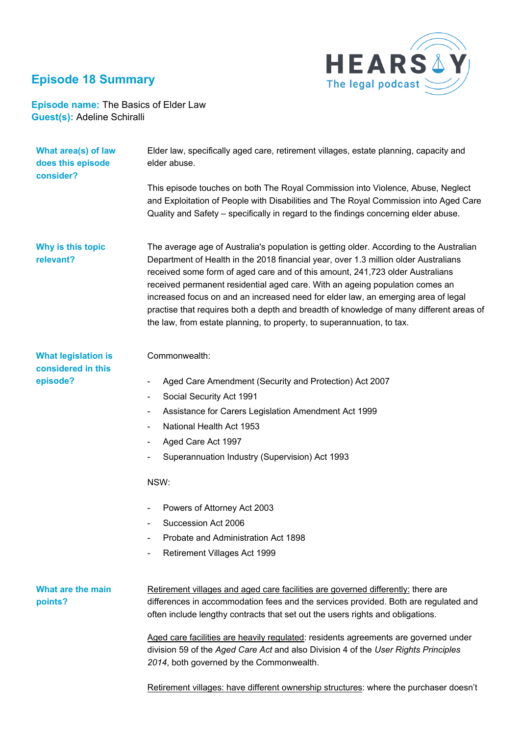## **Episode 18 Summary**



## **Episode name:** The Basics of Elder Law **Guest(s):** Adeline Schiralli

| What area(s) of law<br>does this episode<br>consider? | Elder law, specifically aged care, retirement villages, estate planning, capacity and<br>elder abuse.                                                                                                                                                                                                                                                                                                                                                                                                                                                                                                     |
|-------------------------------------------------------|-----------------------------------------------------------------------------------------------------------------------------------------------------------------------------------------------------------------------------------------------------------------------------------------------------------------------------------------------------------------------------------------------------------------------------------------------------------------------------------------------------------------------------------------------------------------------------------------------------------|
|                                                       | This episode touches on both The Royal Commission into Violence, Abuse, Neglect<br>and Exploitation of People with Disabilities and The Royal Commission into Aged Care<br>Quality and Safety – specifically in regard to the findings concerning elder abuse.                                                                                                                                                                                                                                                                                                                                            |
| Why is this topic<br>relevant?                        | The average age of Australia's population is getting older. According to the Australian<br>Department of Health in the 2018 financial year, over 1.3 million older Australians<br>received some form of aged care and of this amount, 241,723 older Australians<br>received permanent residential aged care. With an ageing population comes an<br>increased focus on and an increased need for elder law, an emerging area of legal<br>practise that requires both a depth and breadth of knowledge of many different areas of<br>the law, from estate planning, to property, to superannuation, to tax. |
| <b>What legislation is</b><br>considered in this      | Commonwealth:                                                                                                                                                                                                                                                                                                                                                                                                                                                                                                                                                                                             |
| episode?                                              | Aged Care Amendment (Security and Protection) Act 2007                                                                                                                                                                                                                                                                                                                                                                                                                                                                                                                                                    |
|                                                       | Social Security Act 1991<br>-                                                                                                                                                                                                                                                                                                                                                                                                                                                                                                                                                                             |
|                                                       | Assistance for Carers Legislation Amendment Act 1999                                                                                                                                                                                                                                                                                                                                                                                                                                                                                                                                                      |
|                                                       | National Health Act 1953                                                                                                                                                                                                                                                                                                                                                                                                                                                                                                                                                                                  |
|                                                       | Aged Care Act 1997                                                                                                                                                                                                                                                                                                                                                                                                                                                                                                                                                                                        |
|                                                       | Superannuation Industry (Supervision) Act 1993                                                                                                                                                                                                                                                                                                                                                                                                                                                                                                                                                            |
|                                                       | NSW:                                                                                                                                                                                                                                                                                                                                                                                                                                                                                                                                                                                                      |
|                                                       | Powers of Attorney Act 2003                                                                                                                                                                                                                                                                                                                                                                                                                                                                                                                                                                               |
|                                                       | Succession Act 2006                                                                                                                                                                                                                                                                                                                                                                                                                                                                                                                                                                                       |
|                                                       | Probate and Administration Act 1898                                                                                                                                                                                                                                                                                                                                                                                                                                                                                                                                                                       |
|                                                       | <b>Retirement Villages Act 1999</b>                                                                                                                                                                                                                                                                                                                                                                                                                                                                                                                                                                       |
| What are the main<br>points?                          | Retirement villages and aged care facilities are governed differently: there are<br>differences in accommodation fees and the services provided. Both are regulated and<br>often include lengthy contracts that set out the users rights and obligations.                                                                                                                                                                                                                                                                                                                                                 |
|                                                       | Aged care facilities are heavily regulated: residents agreements are governed under<br>division 59 of the Aged Care Act and also Division 4 of the User Rights Principles<br>2014, both governed by the Commonwealth.                                                                                                                                                                                                                                                                                                                                                                                     |
|                                                       | Retirement villages: have different ownership structures: where the purchaser doesn't                                                                                                                                                                                                                                                                                                                                                                                                                                                                                                                     |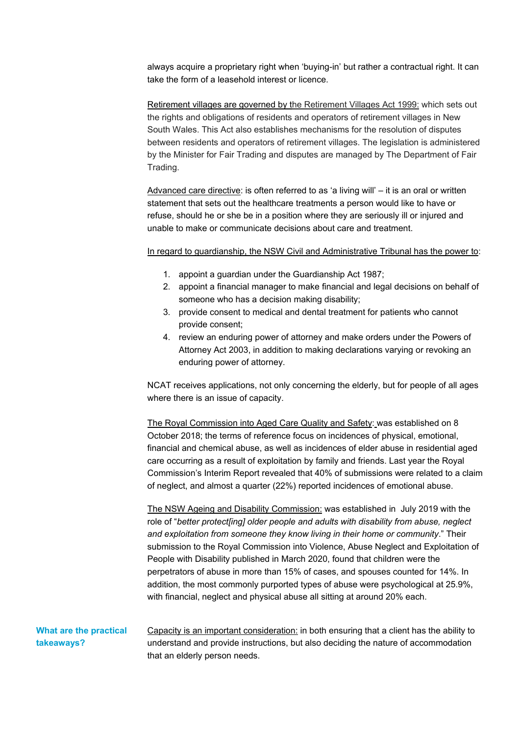always acquire a proprietary right when 'buying-in' but rather a contractual right. It can take the form of a leasehold interest or licence.

Retirement villages are governed by the Retirement Villages Act 1999: which sets out the rights and obligations of residents and operators of retirement villages in New South Wales. This Act also establishes mechanisms for the resolution of disputes between residents and operators of retirement villages. The legislation is administered by the Minister for Fair Trading and disputes are managed by The Department of Fair Trading.

Advanced care directive: is often referred to as 'a living will' – it is an oral or written statement that sets out the healthcare treatments a person would like to have or refuse, should he or she be in a position where they are seriously ill or injured and unable to make or communicate decisions about care and treatment.

In regard to guardianship, the NSW Civil and Administrative Tribunal has the power to:

- 1. appoint a guardian under the Guardianship Act 1987;
- 2. appoint a financial manager to make financial and legal decisions on behalf of someone who has a decision making disability;
- 3. provide consent to medical and dental treatment for patients who cannot provide consent;
- 4. review an enduring power of attorney and make orders under the Powers of Attorney Act 2003, in addition to making declarations varying or revoking an enduring power of attorney.

NCAT receives applications, not only concerning the elderly, but for people of all ages where there is an issue of capacity.

The Royal Commission into Aged Care Quality and Safety: was established on 8 October 2018; the terms of reference focus on incidences of physical, emotional, financial and chemical abuse, as well as incidences of elder abuse in residential aged care occurring as a result of exploitation by family and friends. Last year the Royal Commission's Interim Report revealed that 40% of submissions were related to a claim of neglect, and almost a quarter (22%) reported incidences of emotional abuse.

The NSW Ageing and Disability Commission: was established in July 2019 with the role of "*better protect[ing] older people and adults with disability from abuse, neglect and exploitation from someone they know living in their home or community*." Their submission to the Royal Commission into Violence, Abuse Neglect and Exploitation of People with Disability published in March 2020, found that children were the perpetrators of abuse in more than 15% of cases, and spouses counted for 14%. In addition, the most commonly purported types of abuse were psychological at 25.9%, with financial, neglect and physical abuse all sitting at around 20% each.

| What are the practical | Capacity is an important consideration: in both ensuring that a client has the ability to |
|------------------------|-------------------------------------------------------------------------------------------|
| takeaways?             | understand and provide instructions, but also deciding the nature of accommodation        |
|                        | that an elderly person needs.                                                             |